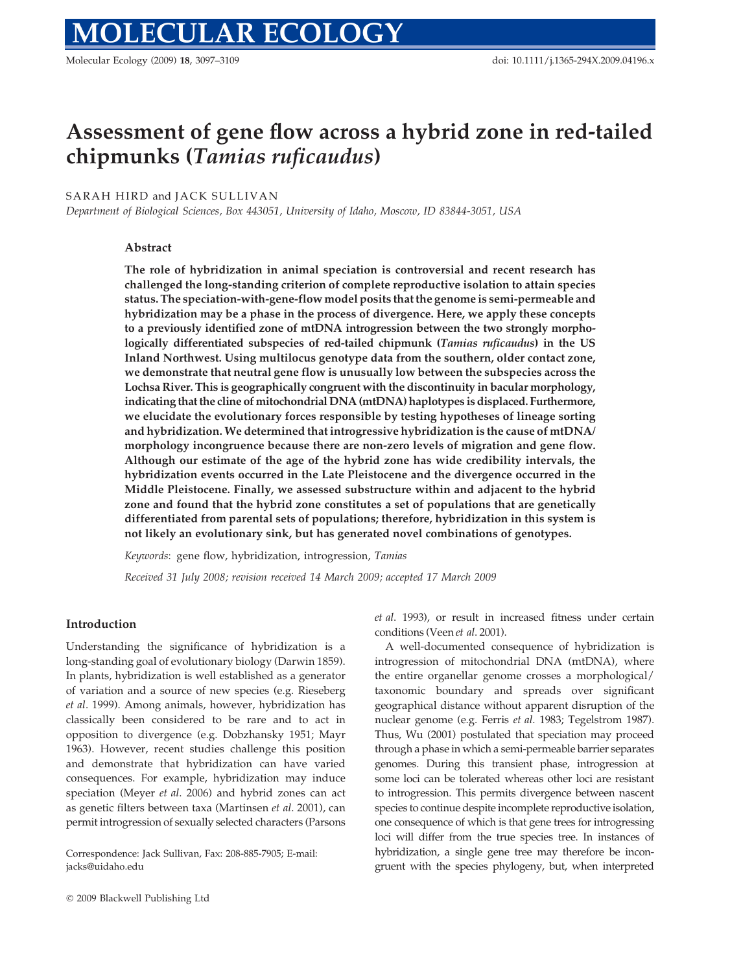Molecular Ecology (2009) 18, 3097–3109 doi: 10.1111/j.1365-294X.2009.04196.x

# Assessment of gene flow across a hybrid zone in red-tailed chipmunks (Tamias ruficaudus)

## SARAH HIRD and JACK SULLIVAN

Department of Biological Sciences, Box 443051, University of Idaho, Moscow, ID 83844-3051, USA

# Abstract

The role of hybridization in animal speciation is controversial and recent research has challenged the long-standing criterion of complete reproductive isolation to attain species status. The speciation-with-gene-flow model posits that the genome is semi-permeable and hybridization may be a phase in the process of divergence. Here, we apply these concepts to a previously identified zone of mtDNA introgression between the two strongly morphologically differentiated subspecies of red-tailed chipmunk (Tamias ruficaudus) in the US Inland Northwest. Using multilocus genotype data from the southern, older contact zone, we demonstrate that neutral gene flow is unusually low between the subspecies across the Lochsa River. This is geographically congruent with the discontinuity in bacular morphology, indicating that the cline of mitochondrial DNA (mtDNA) haplotypes is displaced. Furthermore, we elucidate the evolutionary forces responsible by testing hypotheses of lineage sorting and hybridization. We determined that introgressive hybridization is the cause of mtDNA/ morphology incongruence because there are non-zero levels of migration and gene flow. Although our estimate of the age of the hybrid zone has wide credibility intervals, the hybridization events occurred in the Late Pleistocene and the divergence occurred in the Middle Pleistocene. Finally, we assessed substructure within and adjacent to the hybrid zone and found that the hybrid zone constitutes a set of populations that are genetically differentiated from parental sets of populations; therefore, hybridization in this system is not likely an evolutionary sink, but has generated novel combinations of genotypes.

Keywords: gene flow, hybridization, introgression, Tamias

Received 31 July 2008; revision received 14 March 2009; accepted 17 March 2009

# Introduction

Understanding the significance of hybridization is a long-standing goal of evolutionary biology (Darwin 1859). In plants, hybridization is well established as a generator of variation and a source of new species (e.g. Rieseberg et al. 1999). Among animals, however, hybridization has classically been considered to be rare and to act in opposition to divergence (e.g. Dobzhansky 1951; Mayr 1963). However, recent studies challenge this position and demonstrate that hybridization can have varied consequences. For example, hybridization may induce speciation (Meyer et al. 2006) and hybrid zones can act as genetic filters between taxa (Martinsen et al. 2001), can permit introgression of sexually selected characters (Parsons

Correspondence: Jack Sullivan, Fax: 208-885-7905; E-mail: jacks@uidaho.edu

et al. 1993), or result in increased fitness under certain conditions (Veen et al. 2001).

A well-documented consequence of hybridization is introgression of mitochondrial DNA (mtDNA), where the entire organellar genome crosses a morphological/ taxonomic boundary and spreads over significant geographical distance without apparent disruption of the nuclear genome (e.g. Ferris et al. 1983; Tegelstrom 1987). Thus, Wu (2001) postulated that speciation may proceed through a phase in which a semi-permeable barrier separates genomes. During this transient phase, introgression at some loci can be tolerated whereas other loci are resistant to introgression. This permits divergence between nascent species to continue despite incomplete reproductive isolation, one consequence of which is that gene trees for introgressing loci will differ from the true species tree. In instances of hybridization, a single gene tree may therefore be incongruent with the species phylogeny, but, when interpreted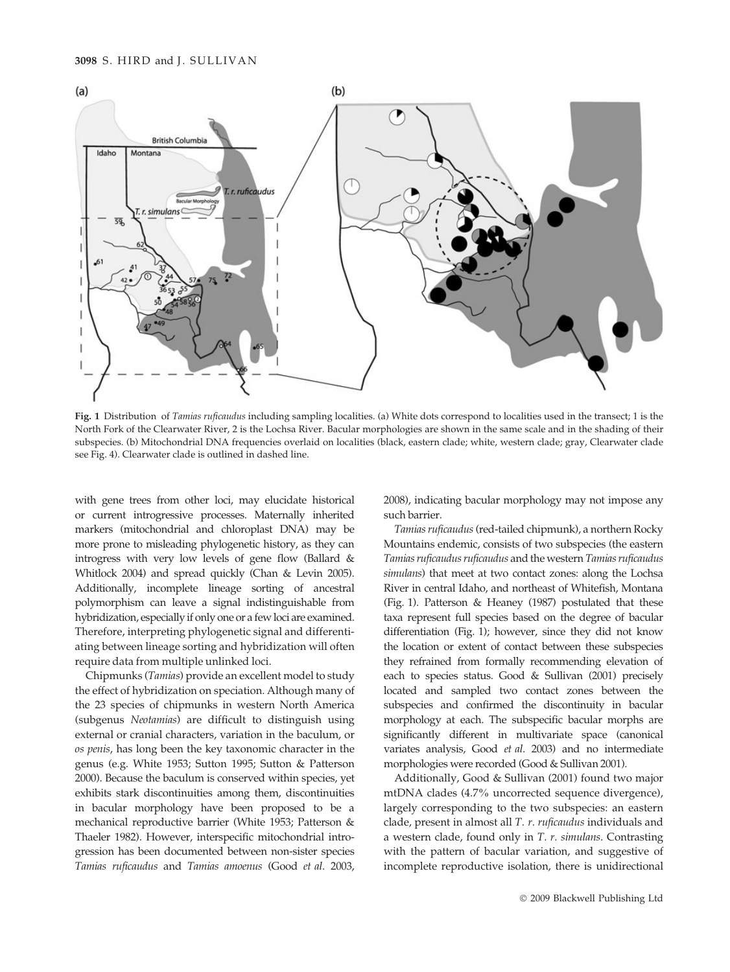

Fig. 1 Distribution of Tamias ruficaudus including sampling localities. (a) White dots correspond to localities used in the transect; 1 is the North Fork of the Clearwater River, 2 is the Lochsa River. Bacular morphologies are shown in the same scale and in the shading of their subspecies. (b) Mitochondrial DNA frequencies overlaid on localities (black, eastern clade; white, western clade; gray, Clearwater clade see Fig. 4). Clearwater clade is outlined in dashed line.

with gene trees from other loci, may elucidate historical or current introgressive processes. Maternally inherited markers (mitochondrial and chloroplast DNA) may be more prone to misleading phylogenetic history, as they can introgress with very low levels of gene flow (Ballard & Whitlock 2004) and spread quickly (Chan & Levin 2005). Additionally, incomplete lineage sorting of ancestral polymorphism can leave a signal indistinguishable from hybridization, especially if only one or a few loci are examined. Therefore, interpreting phylogenetic signal and differentiating between lineage sorting and hybridization will often require data from multiple unlinked loci.

Chipmunks (Tamias) provide an excellent model to study the effect of hybridization on speciation. Although many of the 23 species of chipmunks in western North America (subgenus Neotamias) are difficult to distinguish using external or cranial characters, variation in the baculum, or os penis, has long been the key taxonomic character in the genus (e.g. White 1953; Sutton 1995; Sutton & Patterson 2000). Because the baculum is conserved within species, yet exhibits stark discontinuities among them, discontinuities in bacular morphology have been proposed to be a mechanical reproductive barrier (White 1953; Patterson & Thaeler 1982). However, interspecific mitochondrial introgression has been documented between non-sister species Tamias ruficaudus and Tamias amoenus (Good et al. 2003, 2008), indicating bacular morphology may not impose any such barrier.

Tamias ruficaudus(red-tailed chipmunk), a northern Rocky Mountains endemic, consists of two subspecies (the eastern Tamias ruficaudus ruficaudus and the western Tamias ruficaudus simulans) that meet at two contact zones: along the Lochsa River in central Idaho, and northeast of Whitefish, Montana (Fig. 1). Patterson & Heaney (1987) postulated that these taxa represent full species based on the degree of bacular differentiation (Fig. 1); however, since they did not know the location or extent of contact between these subspecies they refrained from formally recommending elevation of each to species status. Good & Sullivan (2001) precisely located and sampled two contact zones between the subspecies and confirmed the discontinuity in bacular morphology at each. The subspecific bacular morphs are significantly different in multivariate space (canonical variates analysis, Good et al. 2003) and no intermediate morphologies were recorded (Good & Sullivan 2001).

Additionally, Good & Sullivan (2001) found two major mtDNA clades (4.7% uncorrected sequence divergence), largely corresponding to the two subspecies: an eastern clade, present in almost all T. r. ruficaudus individuals and a western clade, found only in T. r. simulans. Contrasting with the pattern of bacular variation, and suggestive of incomplete reproductive isolation, there is unidirectional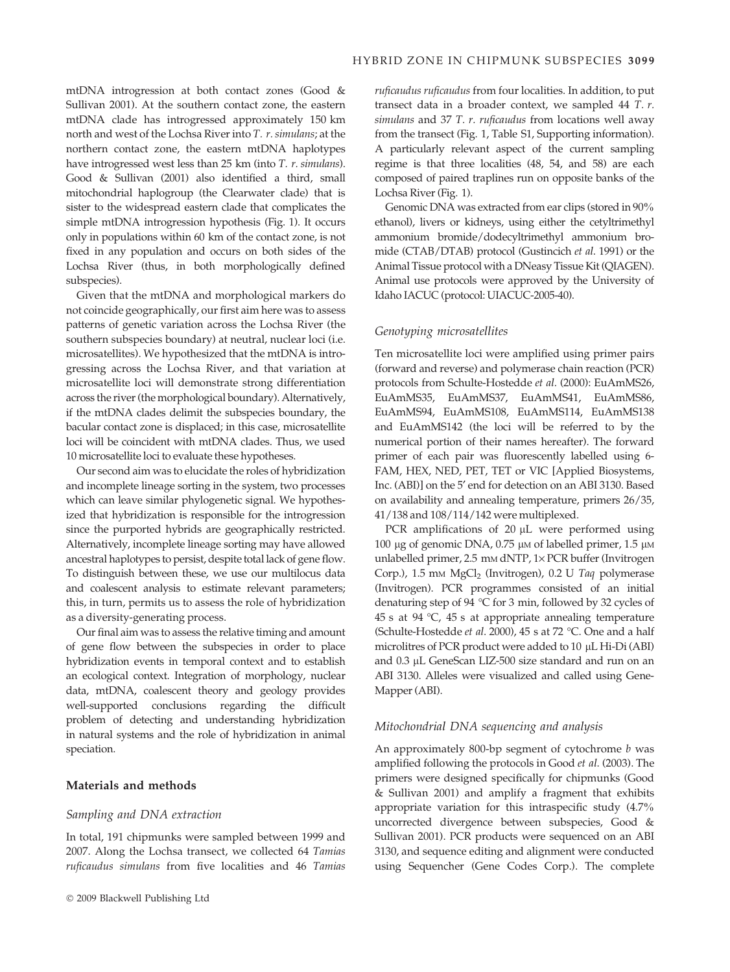mtDNA introgression at both contact zones (Good & Sullivan 2001). At the southern contact zone, the eastern mtDNA clade has introgressed approximately 150 km north and west of the Lochsa River into T. r. simulans; at the northern contact zone, the eastern mtDNA haplotypes have introgressed west less than 25 km (into T. r. simulans). Good & Sullivan (2001) also identified a third, small mitochondrial haplogroup (the Clearwater clade) that is sister to the widespread eastern clade that complicates the simple mtDNA introgression hypothesis (Fig. 1). It occurs only in populations within 60 km of the contact zone, is not fixed in any population and occurs on both sides of the Lochsa River (thus, in both morphologically defined subspecies).

Given that the mtDNA and morphological markers do not coincide geographically, our first aim here was to assess patterns of genetic variation across the Lochsa River (the southern subspecies boundary) at neutral, nuclear loci (i.e. microsatellites). We hypothesized that the mtDNA is introgressing across the Lochsa River, and that variation at microsatellite loci will demonstrate strong differentiation across the river (the morphological boundary). Alternatively, if the mtDNA clades delimit the subspecies boundary, the bacular contact zone is displaced; in this case, microsatellite loci will be coincident with mtDNA clades. Thus, we used 10 microsatellite loci to evaluate these hypotheses.

Our second aim was to elucidate the roles of hybridization and incomplete lineage sorting in the system, two processes which can leave similar phylogenetic signal. We hypothesized that hybridization is responsible for the introgression since the purported hybrids are geographically restricted. Alternatively, incomplete lineage sorting may have allowed ancestral haplotypes to persist, despite total lack of gene flow. To distinguish between these, we use our multilocus data and coalescent analysis to estimate relevant parameters; this, in turn, permits us to assess the role of hybridization as a diversity-generating process.

Our final aim was to assess the relative timing and amount of gene flow between the subspecies in order to place hybridization events in temporal context and to establish an ecological context. Integration of morphology, nuclear data, mtDNA, coalescent theory and geology provides well-supported conclusions regarding the difficult problem of detecting and understanding hybridization in natural systems and the role of hybridization in animal speciation.

# Materials and methods

#### Sampling and DNA extraction

In total, 191 chipmunks were sampled between 1999 and 2007. Along the Lochsa transect, we collected 64 Tamias ruficaudus simulans from five localities and 46 Tamias ruficaudus ruficaudus from four localities. In addition, to put transect data in a broader context, we sampled 44 T. r. simulans and 37 T. r. ruficaudus from locations well away from the transect (Fig. 1, Table S1, Supporting information). A particularly relevant aspect of the current sampling regime is that three localities (48, 54, and 58) are each composed of paired traplines run on opposite banks of the Lochsa River (Fig. 1).

Genomic DNA was extracted from ear clips (stored in 90% ethanol), livers or kidneys, using either the cetyltrimethyl ammonium bromide/dodecyltrimethyl ammonium bromide (CTAB/DTAB) protocol (Gustincich et al. 1991) or the Animal Tissue protocol with a DNeasy Tissue Kit (QIAGEN). Animal use protocols were approved by the University of Idaho IACUC (protocol: UIACUC-2005-40).

#### Genotyping microsatellites

Ten microsatellite loci were amplified using primer pairs (forward and reverse) and polymerase chain reaction (PCR) protocols from Schulte-Hostedde et al. (2000): EuAmMS26, EuAmMS35, EuAmMS37, EuAmMS41, EuAmMS86, EuAmMS94, EuAmMS108, EuAmMS114, EuAmMS138 and EuAmMS142 (the loci will be referred to by the numerical portion of their names hereafter). The forward primer of each pair was fluorescently labelled using 6- FAM, HEX, NED, PET, TET or VIC [Applied Biosystems, Inc. (ABI)] on the 5' end for detection on an ABI 3130. Based on availability and annealing temperature, primers 26/35, 41/138 and 108/114/142 were multiplexed.

PCR amplifications of  $20 \mu$ L were performed using 100 μg of genomic DNA, 0.75 μm of labelled primer, 1.5 μm unlabelled primer, 2.5 mm dNTP, 1x PCR buffer (Invitrogen Corp.), 1.5 mm  $MgCl<sub>2</sub>$  (Invitrogen), 0.2 U Taq polymerase (Invitrogen). PCR programmes consisted of an initial denaturing step of 94  $°C$  for 3 min, followed by 32 cycles of 45 s at 94  $\degree$ C, 45 s at appropriate annealing temperature (Schulte-Hostedde et al. 2000), 45 s at 72 °C. One and a half microlitres of PCR product were added to 10 µL Hi-Di (ABI) and 0.3 µL GeneScan LIZ-500 size standard and run on an ABI 3130. Alleles were visualized and called using Gene-Mapper (ABI).

#### Mitochondrial DNA sequencing and analysis

An approximately 800-bp segment of cytochrome  $b$  was amplified following the protocols in Good et al. (2003). The primers were designed specifically for chipmunks (Good & Sullivan 2001) and amplify a fragment that exhibits appropriate variation for this intraspecific study (4.7% uncorrected divergence between subspecies, Good & Sullivan 2001). PCR products were sequenced on an ABI 3130, and sequence editing and alignment were conducted using Sequencher (Gene Codes Corp.). The complete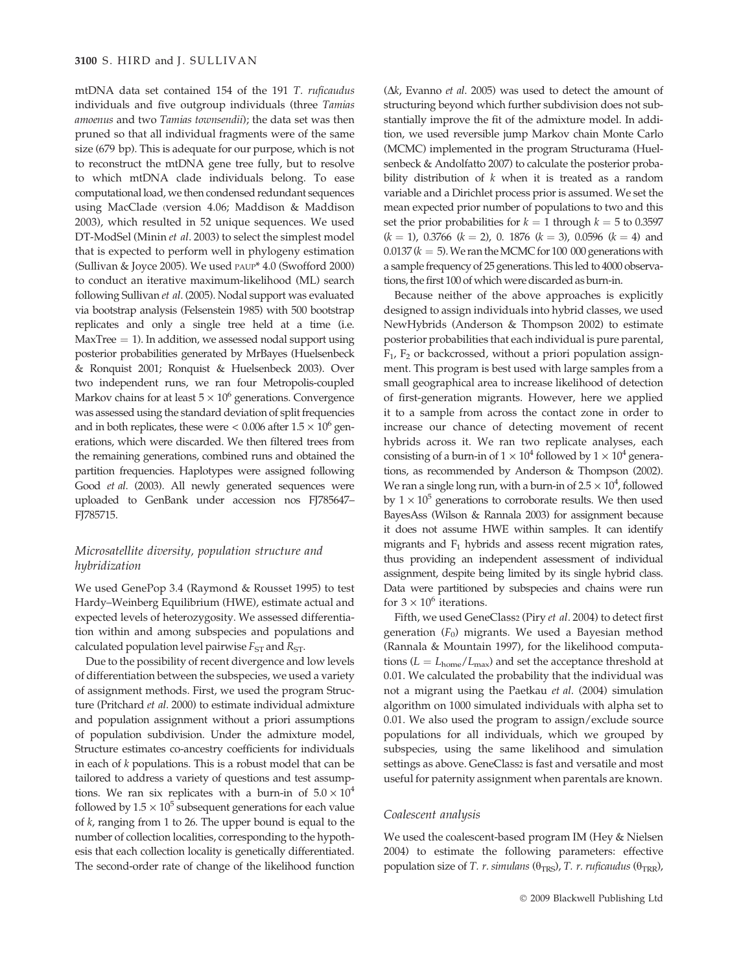mtDNA data set contained 154 of the 191 T. ruficaudus individuals and five outgroup individuals (three Tamias amoenus and two Tamias townsendii); the data set was then pruned so that all individual fragments were of the same size (679 bp). This is adequate for our purpose, which is not to reconstruct the mtDNA gene tree fully, but to resolve to which mtDNA clade individuals belong. To ease computational load, we then condensed redundant sequences using MacClade (version 4.06; Maddison & Maddison 2003), which resulted in 52 unique sequences. We used DT-ModSel (Minin et al. 2003) to select the simplest model that is expected to perform well in phylogeny estimation (Sullivan & Joyce 2005). We used PAUP\* 4.0 (Swofford 2000) to conduct an iterative maximum-likelihood (ML) search following Sullivan et al. (2005). Nodal support was evaluated via bootstrap analysis (Felsenstein 1985) with 500 bootstrap replicates and only a single tree held at a time (i.e.  $MaxTree = 1$ . In addition, we assessed nodal support using posterior probabilities generated by MrBayes (Huelsenbeck & Ronquist 2001; Ronquist & Huelsenbeck 2003). Over two independent runs, we ran four Metropolis-coupled Markov chains for at least  $5 \times 10^6$  generations. Convergence was assessed using the standard deviation of split frequencies and in both replicates, these were  $< 0.006$  after  $1.5 \times 10^6$  generations, which were discarded. We then filtered trees from the remaining generations, combined runs and obtained the partition frequencies. Haplotypes were assigned following Good et al. (2003). All newly generated sequences were uploaded to GenBank under accession nos FJ785647– FJ785715.

# Microsatellite diversity, population structure and hybridization

We used GenePop 3.4 (Raymond & Rousset 1995) to test Hardy–Weinberg Equilibrium (HWE), estimate actual and expected levels of heterozygosity. We assessed differentiation within and among subspecies and populations and calculated population level pairwise  $F_{ST}$  and  $R_{ST}$ .

Due to the possibility of recent divergence and low levels of differentiation between the subspecies, we used a variety of assignment methods. First, we used the program Structure (Pritchard et al. 2000) to estimate individual admixture and population assignment without a priori assumptions of population subdivision. Under the admixture model, Structure estimates co-ancestry coefficients for individuals in each of k populations. This is a robust model that can be tailored to address a variety of questions and test assumptions. We ran six replicates with a burn-in of  $5.0 \times 10^4$ followed by  $1.5 \times 10^5$  subsequent generations for each value of k, ranging from 1 to 26. The upper bound is equal to the number of collection localities, corresponding to the hypothesis that each collection locality is genetically differentiated. The second-order rate of change of the likelihood function

 $(\Delta k, Evanno et al. 2005)$  was used to detect the amount of structuring beyond which further subdivision does not substantially improve the fit of the admixture model. In addition, we used reversible jump Markov chain Monte Carlo (MCMC) implemented in the program Structurama (Huelsenbeck & Andolfatto 2007) to calculate the posterior probability distribution of  $k$  when it is treated as a random variable and a Dirichlet process prior is assumed. We set the mean expected prior number of populations to two and this set the prior probabilities for  $k = 1$  through  $k = 5$  to 0.3597  $(k = 1)$ , 0.3766  $(k = 2)$ , 0. 1876  $(k = 3)$ , 0.0596  $(k = 4)$  and  $0.0137$  ( $k = 5$ ). We ran the MCMC for 100 000 generations with a sample frequency of 25 generations. This led to 4000 observations, the first 100 of which were discarded as burn-in.

Because neither of the above approaches is explicitly designed to assign individuals into hybrid classes, we used NewHybrids (Anderson & Thompson 2002) to estimate posterior probabilities that each individual is pure parental,  $F_1$ ,  $F_2$  or backcrossed, without a priori population assignment. This program is best used with large samples from a small geographical area to increase likelihood of detection of first-generation migrants. However, here we applied it to a sample from across the contact zone in order to increase our chance of detecting movement of recent hybrids across it. We ran two replicate analyses, each consisting of a burn-in of  $1 \times 10^4$  followed by  $1 \times 10^4$  generations, as recommended by Anderson & Thompson (2002). We ran a single long run, with a burn-in of  $2.5 \times 10^4$ , followed by  $1 \times 10^5$  generations to corroborate results. We then used BayesAss (Wilson & Rannala 2003) for assignment because it does not assume HWE within samples. It can identify migrants and  $F_1$  hybrids and assess recent migration rates, thus providing an independent assessment of individual assignment, despite being limited by its single hybrid class. Data were partitioned by subspecies and chains were run for  $3 \times 10^6$  iterations.

Fifth, we used GeneClass2 (Piry et al. 2004) to detect first generation  $(F_0)$  migrants. We used a Bayesian method (Rannala & Mountain 1997), for the likelihood computations ( $L = L_{home}/L_{max}$ ) and set the acceptance threshold at 0.01. We calculated the probability that the individual was not a migrant using the Paetkau et al. (2004) simulation algorithm on 1000 simulated individuals with alpha set to 0.01. We also used the program to assign/exclude source populations for all individuals, which we grouped by subspecies, using the same likelihood and simulation settings as above. GeneClass2 is fast and versatile and most useful for paternity assignment when parentals are known.

#### Coalescent analysis

We used the coalescent-based program IM (Hey & Nielsen 2004) to estimate the following parameters: effective population size of T. r. simulans ( $\theta_{TRS}$ ), T. r. ruficaudus ( $\theta_{TRR}$ ),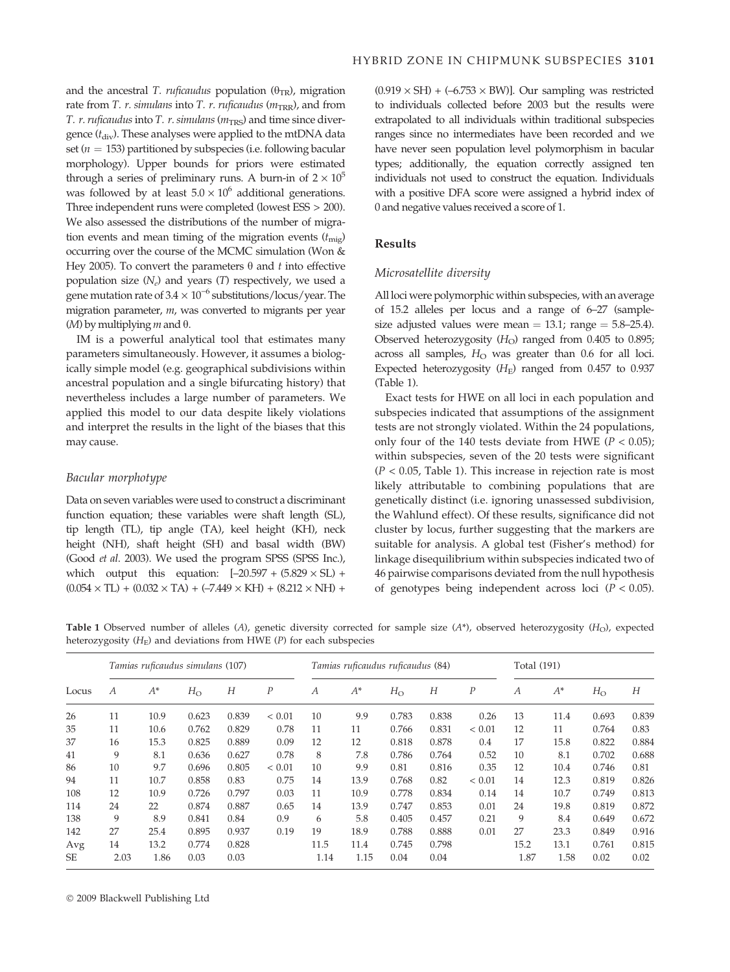and the ancestral T. ruficaudus population  $(\theta_{TR})$ , migration rate from T. r. simulans into T. r. ruficaudus ( $m_{TRR}$ ), and from T. r. ruficaudus into T. r. simulans  $(m_{TPS})$  and time since divergence  $(t_{\text{div}})$ . These analyses were applied to the mtDNA data set ( $n = 153$ ) partitioned by subspecies (i.e. following bacular morphology). Upper bounds for priors were estimated through a series of preliminary runs. A burn-in of  $2 \times 10^5$ was followed by at least  $5.0 \times 10^6$  additional generations. Three independent runs were completed (lowest ESS > 200). We also assessed the distributions of the number of migration events and mean timing of the migration events  $(t_{\text{mio}})$ occurring over the course of the MCMC simulation (Won & Hey 2005). To convert the parameters  $\theta$  and t into effective population size  $(N_e)$  and years  $(T)$  respectively, we used a gene mutation rate of  $3.4 \times 10^{-6}$  substitutions/locus/year. The migration parameter, m, was converted to migrants per year  $(M)$  by multiplying *m* and  $\theta$ .

IM is a powerful analytical tool that estimates many parameters simultaneously. However, it assumes a biologically simple model (e.g. geographical subdivisions within ancestral population and a single bifurcating history) that nevertheless includes a large number of parameters. We applied this model to our data despite likely violations and interpret the results in the light of the biases that this may cause.

#### Bacular morphotype

Data on seven variables were used to construct a discriminant function equation; these variables were shaft length (SL), tip length (TL), tip angle (TA), keel height (KH), neck height (NH), shaft height (SH) and basal width (BW) (Good et al. 2003). We used the program SPSS (SPSS Inc.), which output this equation:  $[-20.597 + (5.829 \times SL) +$  $(0.054 \times TL) + (0.032 \times TA) + (-7.449 \times KH) + (8.212 \times NH) +$ 

 $(0.919 \times SH) + (-6.753 \times BW)$ . Our sampling was restricted to individuals collected before 2003 but the results were extrapolated to all individuals within traditional subspecies ranges since no intermediates have been recorded and we have never seen population level polymorphism in bacular types; additionally, the equation correctly assigned ten individuals not used to construct the equation. Individuals with a positive DFA score were assigned a hybrid index of 0 and negative values received a score of 1.

# Results

#### Microsatellite diversity

All loci were polymorphic within subspecies, with an average of 15.2 alleles per locus and a range of 6–27 (samplesize adjusted values were mean  $= 13.1$ ; range  $= 5.8$ -25.4). Observed heterozygosity  $(H<sub>O</sub>)$  ranged from 0.405 to 0.895; across all samples,  $H<sub>O</sub>$  was greater than 0.6 for all loci. Expected heterozygosity  $(H_E)$  ranged from 0.457 to 0.937 (Table 1).

Exact tests for HWE on all loci in each population and subspecies indicated that assumptions of the assignment tests are not strongly violated. Within the 24 populations, only four of the 140 tests deviate from HWE ( $P < 0.05$ ); within subspecies, seven of the 20 tests were significant  $(P < 0.05,$  Table 1). This increase in rejection rate is most likely attributable to combining populations that are genetically distinct (i.e. ignoring unassessed subdivision, the Wahlund effect). Of these results, significance did not cluster by locus, further suggesting that the markers are suitable for analysis. A global test (Fisher's method) for linkage disequilibrium within subspecies indicated two of 46 pairwise comparisons deviated from the null hypothesis of genotypes being independent across loci ( $P < 0.05$ ).

Table 1 Observed number of alleles (A), genetic diversity corrected for sample size ( $A^*$ ), observed heterozygosity ( $H_O$ ), expected heterozygosity  $(H_E)$  and deviations from HWE (P) for each subspecies

| Locus     |      | Tamias ruficaudus simulans (107) |             |       |                  |      | Tamias ruficaudus ruficaudus (84) |             | Total (191) |                  |      |       |             |       |
|-----------|------|----------------------------------|-------------|-------|------------------|------|-----------------------------------|-------------|-------------|------------------|------|-------|-------------|-------|
|           | A    | $A^*$                            | $H_{\rm O}$ | Н     | $\boldsymbol{P}$ | A    | $A^*$                             | $H_{\rm O}$ | Н           | $\boldsymbol{P}$ | А    | $A^*$ | $H_{\rm O}$ | Н     |
| 26        | 11   | 10.9                             | 0.623       | 0.839 | < 0.01           | 10   | 9.9                               | 0.783       | 0.838       | 0.26             | 13   | 11.4  | 0.693       | 0.839 |
| 35        | 11   | 10.6                             | 0.762       | 0.829 | 0.78             | 11   | 11                                | 0.766       | 0.831       | ${}< 0.01$       | 12   | 11    | 0.764       | 0.83  |
| 37        | 16   | 15.3                             | 0.825       | 0.889 | 0.09             | 12   | 12                                | 0.818       | 0.878       | 0.4              | 17   | 15.8  | 0.822       | 0.884 |
| 41        | 9    | 8.1                              | 0.636       | 0.627 | 0.78             | 8    | 7.8                               | 0.786       | 0.764       | 0.52             | 10   | 8.1   | 0.702       | 0.688 |
| 86        | 10   | 9.7                              | 0.696       | 0.805 | < 0.01           | 10   | 9.9                               | 0.81        | 0.816       | 0.35             | 12   | 10.4  | 0.746       | 0.81  |
| 94        | 11   | 10.7                             | 0.858       | 0.83  | 0.75             | 14   | 13.9                              | 0.768       | 0.82        | < 0.01           | 14   | 12.3  | 0.819       | 0.826 |
| 108       | 12   | 10.9                             | 0.726       | 0.797 | 0.03             | 11   | 10.9                              | 0.778       | 0.834       | 0.14             | 14   | 10.7  | 0.749       | 0.813 |
| 114       | 24   | 22                               | 0.874       | 0.887 | 0.65             | 14   | 13.9                              | 0.747       | 0.853       | 0.01             | 24   | 19.8  | 0.819       | 0.872 |
| 138       | 9    | 8.9                              | 0.841       | 0.84  | 0.9              | 6    | 5.8                               | 0.405       | 0.457       | 0.21             | 9    | 8.4   | 0.649       | 0.672 |
| 142       | 27   | 25.4                             | 0.895       | 0.937 | 0.19             | 19   | 18.9                              | 0.788       | 0.888       | 0.01             | 27   | 23.3  | 0.849       | 0.916 |
| Avg       | 14   | 13.2                             | 0.774       | 0.828 |                  | 11.5 | 11.4                              | 0.745       | 0.798       |                  | 15.2 | 13.1  | 0.761       | 0.815 |
| <b>SE</b> | 2.03 | 1.86                             | 0.03        | 0.03  |                  | 1.14 | 1.15                              | 0.04        | 0.04        |                  | 1.87 | 1.58  | 0.02        | 0.02  |

- 2009 Blackwell Publishing Ltd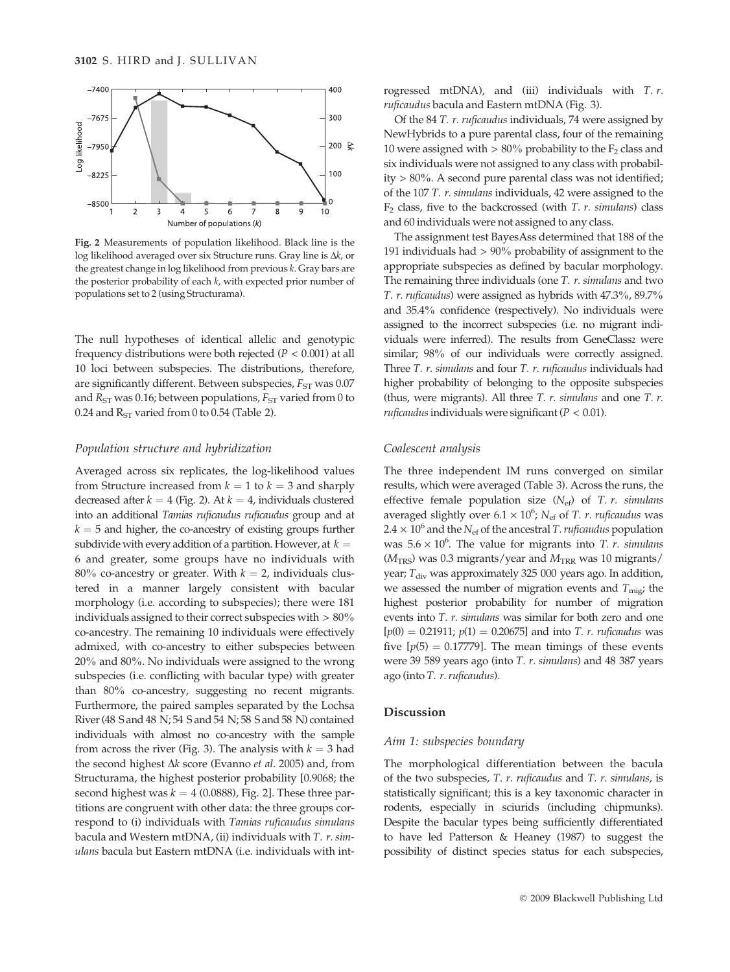

Fig. 2 Measurements of population likelihood. Black line is the log likelihood averaged over six Structure runs. Gray line is  $\Delta k$ , or the greatest change in log likelihood from previous k. Gray bars are the posterior probability of each  $k$ , with expected prior number of populations set to 2 (using Structurama).

The null hypotheses of identical allelic and genotypic frequency distributions were both rejected ( $P < 0.001$ ) at all 10 loci between subspecies. The distributions, therefore, are significantly different. Between subspecies,  $F_{ST}$  was 0.07 and  $R_{ST}$  was 0.16; between populations,  $F_{ST}$  varied from 0 to 0.24 and  $R_{ST}$  varied from 0 to 0.54 (Table 2).

# Population structure and hybridization

Averaged across six replicates, the log-likelihood values from Structure increased from  $k = 1$  to  $k = 3$  and sharply decreased after  $k = 4$  (Fig. 2). At  $k = 4$ , individuals clustered into an additional Tamias ruficaudus ruficaudus group and at  $k = 5$  and higher, the co-ancestry of existing groups further subdivide with every addition of a partition. However, at  $k =$ 6 and greater, some groups have no individuals with 80% co-ancestry or greater. With  $k = 2$ , individuals clustered in a manner largely consistent with bacular morphology (i.e. according to subspecies); there were 181 individuals assigned to their correct subspecies with > 80% co-ancestry. The remaining 10 individuals were effectively admixed, with co-ancestry to either subspecies between 20% and 80%. No individuals were assigned to the wrong subspecies (i.e. conflicting with bacular type) with greater than 80% co-ancestry, suggesting no recent migrants. Furthermore, the paired samples separated by the Lochsa River (48 S and 48 N; 54 S and 54 N; 58 S and 58 N) contained individuals with almost no co-ancestry with the sample from across the river (Fig. 3). The analysis with  $k = 3$  had the second highest  $\Delta k$  score (Evanno et al. 2005) and, from Structurama, the highest posterior probability [0.9068; the second highest was  $k = 4$  (0.0888), Fig. 2]. These three partitions are congruent with other data: the three groups correspond to (i) individuals with Tamias ruficaudus simulans bacula and Western mtDNA, (ii) individuals with T. r. simulans bacula but Eastern mtDNA (i.e. individuals with introgressed mtDNA), and (iii) individuals with  $T. r.$ ruficaudus bacula and Eastern mtDNA (Fig. 3).

Of the 84 T. r. ruficaudus individuals, 74 were assigned by NewHybrids to a pure parental class, four of the remaining 10 were assigned with  $> 80\%$  probability to the  $F_2$  class and six individuals were not assigned to any class with probability > 80%. A second pure parental class was not identified; of the 107 T. r. simulans individuals, 42 were assigned to the  $F_2$  class, five to the backcrossed (with T. r. simulans) class and 60 individuals were not assigned to any class.

The assignment test BayesAss determined that 188 of the 191 individuals had > 90% probability of assignment to the appropriate subspecies as defined by bacular morphology. The remaining three individuals (one T. r. simulans and two T. r. ruficaudus) were assigned as hybrids with 47.3%, 89.7% and 35.4% confidence (respectively). No individuals were assigned to the incorrect subspecies (i.e. no migrant individuals were inferred). The results from GeneClass2 were similar; 98% of our individuals were correctly assigned. Three *T. r. simulans* and four *T. r. ruficaudus* individuals had higher probability of belonging to the opposite subspecies (thus, were migrants). All three  $T. r.$  simulans and one  $T. r.$ *ruficaudus* individuals were significant ( $P < 0.01$ ).

# Coalescent analysis

The three independent IM runs converged on similar results, which were averaged (Table 3). Across the runs, the effective female population size  $(N_{ef})$  of T. r. simulans averaged slightly over  $6.1 \times 10^6$ ; N<sub>ef</sub> of T. r. ruficaudus was  $2.4 \times 10^6$  and the N<sub>ef</sub> of the ancestral T. *ruficaudus* population was  $5.6 \times 10^6$ . The value for migrants into *T. r. simulans*  $(M_{TRS})$  was 0.3 migrants/year and  $M_{TRR}$  was 10 migrants/ year;  $T_{\text{div}}$  was approximately 325 000 years ago. In addition, we assessed the number of migration events and  $T_{\text{mig}}$ ; the highest posterior probability for number of migration events into T. r. simulans was similar for both zero and one  $[p(0) = 0.21911; p(1) = 0.20675]$  and into *T. r. ruficaudus* was five  $[p(5) = 0.17779]$ . The mean timings of these events were 39 589 years ago (into T. r. simulans) and 48 387 years ago (into T. r. ruficaudus).

# Discussion

#### Aim 1: subspecies boundary

The morphological differentiation between the bacula of the two subspecies, T. r. ruficaudus and T. r. simulans, is statistically significant; this is a key taxonomic character in rodents, especially in sciurids (including chipmunks). Despite the bacular types being sufficiently differentiated to have led Patterson & Heaney (1987) to suggest the possibility of distinct species status for each subspecies,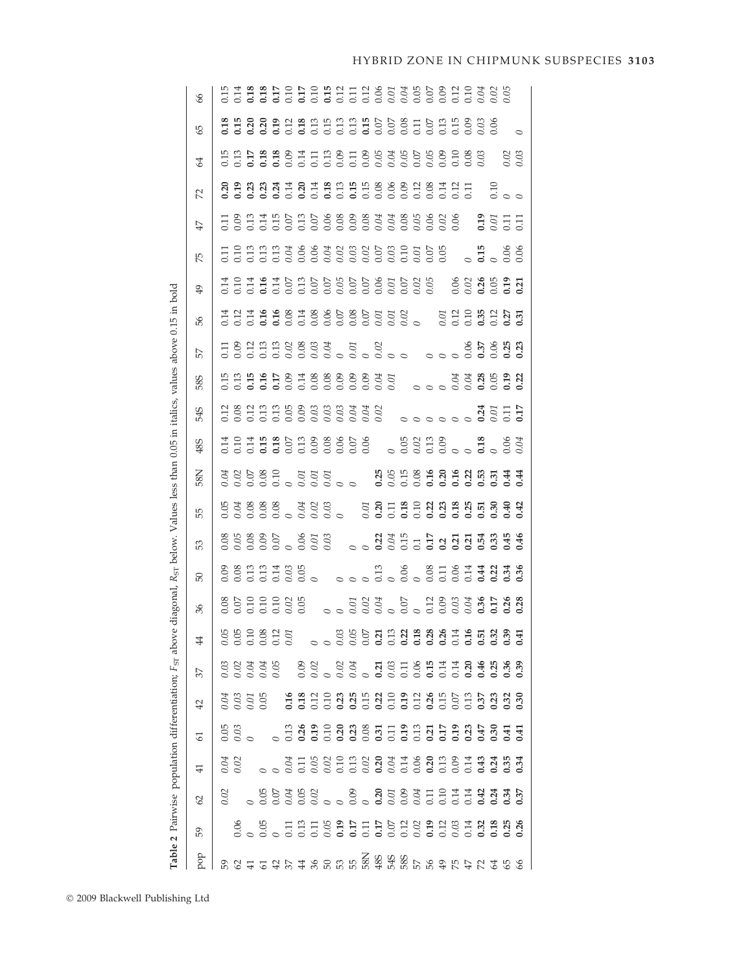Table 2 Pairwise population differentiation; F<sub>ST</sub> above diagonal, R<sub>ST</sub> below. Values less than 0.05 in italics, values above 0.15 in bold  $R_{ST}$  below. Values less than 0.05 in italics, values above 0.15 in bold **Table 2** Pairwise population differentiation;  $F_{ST}$  above diagonal,

| 66              |                                                                                                                                                                                                                       |                                                                                                                                                                                                                                  |  |  |  |  |  |  |      |                            |                            |      |  |
|-----------------|-----------------------------------------------------------------------------------------------------------------------------------------------------------------------------------------------------------------------|----------------------------------------------------------------------------------------------------------------------------------------------------------------------------------------------------------------------------------|--|--|--|--|--|--|------|----------------------------|----------------------------|------|--|
| 65              |                                                                                                                                                                                                                       |                                                                                                                                                                                                                                  |  |  |  |  |  |  |      |                            |                            |      |  |
| $\mathcal{L}$   | 1981 - 1982 - 1982 - 1983 - 1983 - 1983 - 1984 - 1985 - 1986 - 1986 - 1986 - 1986 - 1986 - 1986 - 19<br>1982 - 1983 - 1984 - 1985 - 1986 - 1986 - 1986 - 1986 - 1986 - 1986 - 1986 - 1986 - 1986 - 1986 - 1986 - 1986 |                                                                                                                                                                                                                                  |  |  |  |  |  |  |      |                            |                            | 0.03 |  |
| $\overline{2}$  |                                                                                                                                                                                                                       |                                                                                                                                                                                                                                  |  |  |  |  |  |  |      |                            | $\frac{1}{2}$              |      |  |
| 47              |                                                                                                                                                                                                                       |                                                                                                                                                                                                                                  |  |  |  |  |  |  |      |                            | 19<br>0.01<br>0.11<br>0.11 |      |  |
| E               | 11999988888888998888<br>119999988888888998                                                                                                                                                                            |                                                                                                                                                                                                                                  |  |  |  |  |  |  |      | $0.15$<br>$0.15$<br>$0.06$ |                            |      |  |
| $^{49}$         |                                                                                                                                                                                                                       |                                                                                                                                                                                                                                  |  |  |  |  |  |  |      |                            |                            |      |  |
| 56              |                                                                                                                                                                                                                       |                                                                                                                                                                                                                                  |  |  |  |  |  |  |      |                            |                            |      |  |
| 77              |                                                                                                                                                                                                                       |                                                                                                                                                                                                                                  |  |  |  |  |  |  |      |                            |                            |      |  |
| 585             |                                                                                                                                                                                                                       |                                                                                                                                                                                                                                  |  |  |  |  |  |  |      |                            |                            |      |  |
| 54S             |                                                                                                                                                                                                                       |                                                                                                                                                                                                                                  |  |  |  |  |  |  | 2577 |                            |                            |      |  |
| 48S             |                                                                                                                                                                                                                       |                                                                                                                                                                                                                                  |  |  |  |  |  |  |      |                            |                            |      |  |
| 58N             |                                                                                                                                                                                                                       |                                                                                                                                                                                                                                  |  |  |  |  |  |  |      |                            |                            |      |  |
| ပူ              |                                                                                                                                                                                                                       |                                                                                                                                                                                                                                  |  |  |  |  |  |  |      |                            |                            |      |  |
| 53              | 86886 868 869 869 869 869<br>868886 868 869 869 869 869                                                                                                                                                               |                                                                                                                                                                                                                                  |  |  |  |  |  |  |      |                            |                            |      |  |
| R               |                                                                                                                                                                                                                       |                                                                                                                                                                                                                                  |  |  |  |  |  |  |      |                            |                            |      |  |
| 36              | 88<br>0.010<br>0.010<br>0.000                                                                                                                                                                                         |                                                                                                                                                                                                                                  |  |  |  |  |  |  |      |                            |                            |      |  |
| 44              |                                                                                                                                                                                                                       |                                                                                                                                                                                                                                  |  |  |  |  |  |  |      |                            |                            |      |  |
| 57              |                                                                                                                                                                                                                       |                                                                                                                                                                                                                                  |  |  |  |  |  |  |      |                            |                            |      |  |
| 42              | 0.04<br>0.03<br>0.05                                                                                                                                                                                                  |                                                                                                                                                                                                                                  |  |  |  |  |  |  |      |                            |                            |      |  |
| 5               | 3.05                                                                                                                                                                                                                  |                                                                                                                                                                                                                                  |  |  |  |  |  |  |      |                            |                            |      |  |
| $\overline{11}$ | 0.04                                                                                                                                                                                                                  |                                                                                                                                                                                                                                  |  |  |  |  |  |  |      |                            |                            |      |  |
| 62              | 0.02                                                                                                                                                                                                                  | e secondo de secondo de secondo de secondo de secondo de secondo de secondo de secondo de secondo de secondo d<br>Este de secondo de secondo de secondo de secondo de secondo de secondo de secondo de secondo de secondo de sec |  |  |  |  |  |  |      |                            |                            |      |  |
| 59              |                                                                                                                                                                                                                       | $8.5$ 5 $13.5$ 5 $15.5$ 5 $13.5$ 6 $13.5$ 6 $13.5$ 6 $13.5$ 6 $13.5$ 6 $13.5$ 6 $13.5$ 6 $13.5$ 6 $13.5$ 6 $13.5$ 6 $13.5$ 6 $13.5$ 6 $13.5$ 6 $13.5$ 6 $13.5$ 6 $13.5$ 6 $13.5$ 6 $13.5$ 6 $13.5$ 6 $13.5$ 6 $13.5$ 6 $13.5$    |  |  |  |  |  |  |      |                            |                            |      |  |
| dod             |                                                                                                                                                                                                                       |                                                                                                                                                                                                                                  |  |  |  |  |  |  |      |                            |                            |      |  |

- 2009 Blackwell Publishing Ltd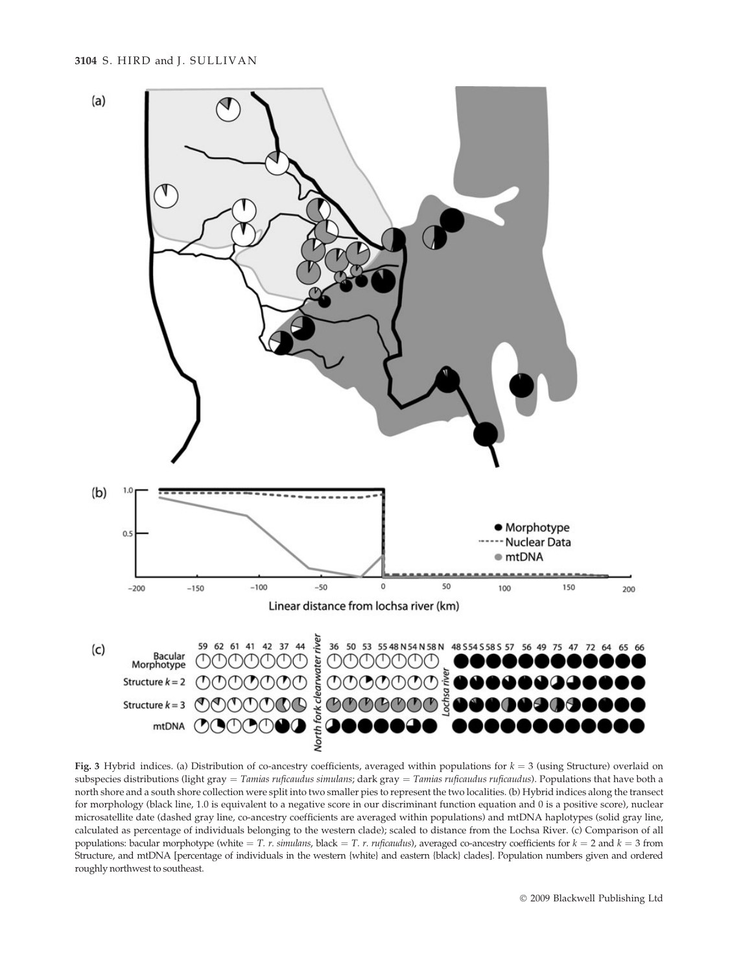

Fig. 3 Hybrid indices. (a) Distribution of co-ancestry coefficients, averaged within populations for  $k = 3$  (using Structure) overlaid on subspecies distributions (light gray = Tamias ruficaudus simulans; dark gray = Tamias ruficaudus ruficaudus). Populations that have both a north shore and a south shore collection were split into two smaller pies to represent the two localities. (b) Hybrid indices along the transect for morphology (black line, 1.0 is equivalent to a negative score in our discriminant function equation and 0 is a positive score), nuclear microsatellite date (dashed gray line, co-ancestry coefficients are averaged within populations) and mtDNA haplotypes (solid gray line, calculated as percentage of individuals belonging to the western clade); scaled to distance from the Lochsa River. (c) Comparison of all populations: bacular morphotype (white  $= T. r.$  simulans, black  $= T. r.$  ruficaudus), averaged co-ancestry coefficients for  $k = 2$  and  $k = 3$  from Structure, and mtDNA [percentage of individuals in the western {white} and eastern {black} clades]. Population numbers given and ordered roughly northwest to southeast.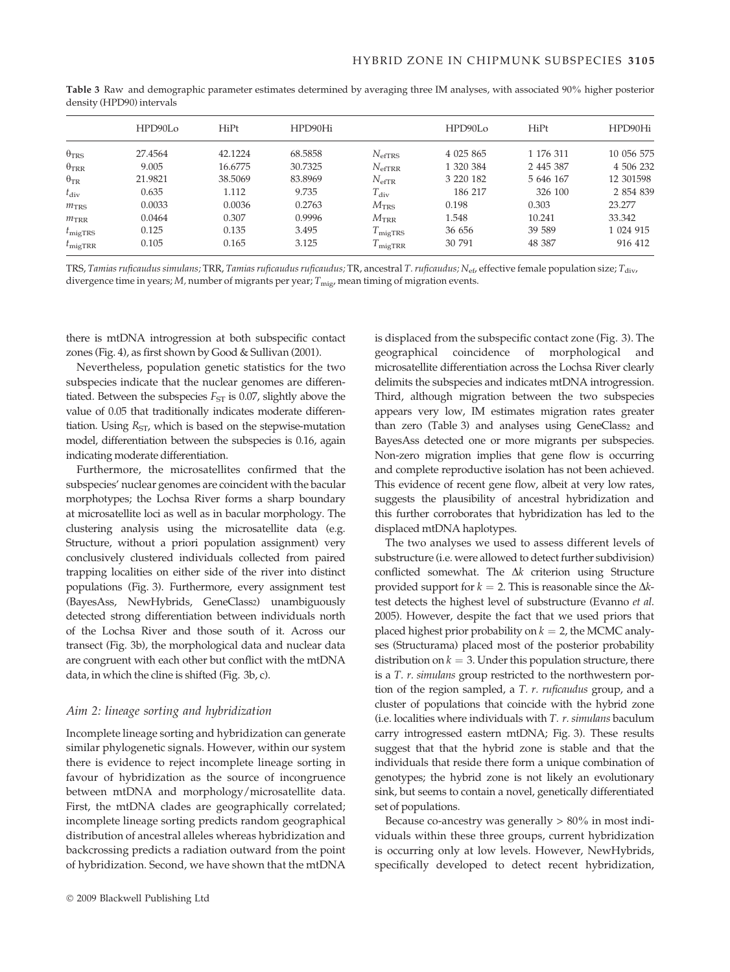|                         | HPD90Lo | HiPt    | HPD90Hi |                    | HPD90Lo       | HiPt      | HPD90Hi    |
|-------------------------|---------|---------|---------|--------------------|---------------|-----------|------------|
| $\theta$ <sub>TRS</sub> | 27.4564 | 42.1224 | 68.5858 | $N_{\text{effRS}}$ | 4 025 865     | 1 176 311 | 10 056 575 |
| $\theta_{\rm{TRR}}$     | 9.005   | 16.6775 | 30.7325 | $N_{\text{effRR}}$ | 1 320 384     | 2 445 387 | 4 506 232  |
| $\theta_{TR}$           | 21.9821 | 38.5069 | 83.8969 | $N_{\text{effR}}$  | 3 2 2 0 1 8 2 | 5 646 167 | 12 301598  |
| $t_{\rm div}$           | 0.635   | 1.112   | 9.735   | $T_{\rm div}$      | 186 217       | 326 100   | 2 854 839  |
| $m$ <sub>TRS</sub>      | 0.0033  | 0.0036  | 0.2763  | M <sub>TRS</sub>   | 0.198         | 0.303     | 23.277     |
| $m_{\rm TRR}$           | 0.0464  | 0.307   | 0.9996  | $M_{\rm TRR}$      | 1.548         | 10.241    | 33.342     |
| $t_{\rm migTRS}$        | 0.125   | 0.135   | 3.495   | $T_{\rm migTRS}$   | 36 656        | 39 589    | 1 024 915  |
| $t_{\rm migTRR}$        | 0.105   | 0.165   | 3.125   | $T_{\rm migTRR}$   | 30 791        | 48 387    | 916 412    |

Table 3 Raw and demographic parameter estimates determined by averaging three IM analyses, with associated 90% higher posterior density (HPD90) intervals

TRS, Tamias ruficaudus simulans; TRR, Tamias ruficaudus ruficaudus; TR, ancestral T. ruficaudus; N<sub>ef</sub>, effective female population size; T<sub>div</sub>, divergence time in years;  $M$ , number of migrants per year;  $T_{\text{mig}}$ , mean timing of migration events.

there is mtDNA introgression at both subspecific contact zones (Fig. 4), as first shown by Good & Sullivan (2001).

Nevertheless, population genetic statistics for the two subspecies indicate that the nuclear genomes are differentiated. Between the subspecies  $F_{ST}$  is 0.07, slightly above the value of 0.05 that traditionally indicates moderate differentiation. Using  $R_{ST}$ , which is based on the stepwise-mutation model, differentiation between the subspecies is 0.16, again indicating moderate differentiation.

Furthermore, the microsatellites confirmed that the subspecies' nuclear genomes are coincident with the bacular morphotypes; the Lochsa River forms a sharp boundary at microsatellite loci as well as in bacular morphology. The clustering analysis using the microsatellite data (e.g. Structure, without a priori population assignment) very conclusively clustered individuals collected from paired trapping localities on either side of the river into distinct populations (Fig. 3). Furthermore, every assignment test (BayesAss, NewHybrids, GeneClass2) unambiguously detected strong differentiation between individuals north of the Lochsa River and those south of it. Across our transect (Fig. 3b), the morphological data and nuclear data are congruent with each other but conflict with the mtDNA data, in which the cline is shifted (Fig. 3b, c).

## Aim 2: lineage sorting and hybridization

Incomplete lineage sorting and hybridization can generate similar phylogenetic signals. However, within our system there is evidence to reject incomplete lineage sorting in favour of hybridization as the source of incongruence between mtDNA and morphology/microsatellite data. First, the mtDNA clades are geographically correlated; incomplete lineage sorting predicts random geographical distribution of ancestral alleles whereas hybridization and backcrossing predicts a radiation outward from the point of hybridization. Second, we have shown that the mtDNA

is displaced from the subspecific contact zone (Fig. 3). The geographical coincidence of morphological and microsatellite differentiation across the Lochsa River clearly delimits the subspecies and indicates mtDNA introgression. Third, although migration between the two subspecies appears very low, IM estimates migration rates greater than zero (Table 3) and analyses using GeneClass2 and BayesAss detected one or more migrants per subspecies. Non-zero migration implies that gene flow is occurring and complete reproductive isolation has not been achieved. This evidence of recent gene flow, albeit at very low rates, suggests the plausibility of ancestral hybridization and this further corroborates that hybridization has led to the displaced mtDNA haplotypes.

The two analyses we used to assess different levels of substructure (i.e. were allowed to detect further subdivision) conflicted somewhat. The  $\Delta k$  criterion using Structure provided support for  $k = 2$ . This is reasonable since the  $\Delta k$ test detects the highest level of substructure (Evanno et al. 2005). However, despite the fact that we used priors that placed highest prior probability on  $k = 2$ , the MCMC analyses (Structurama) placed most of the posterior probability distribution on  $k = 3$ . Under this population structure, there is a T. r. simulans group restricted to the northwestern portion of the region sampled, a T. r. ruficaudus group, and a cluster of populations that coincide with the hybrid zone (i.e. localities where individuals with  $T$ .  $r$ . simulans baculum carry introgressed eastern mtDNA; Fig. 3). These results suggest that that the hybrid zone is stable and that the individuals that reside there form a unique combination of genotypes; the hybrid zone is not likely an evolutionary sink, but seems to contain a novel, genetically differentiated set of populations.

Because co-ancestry was generally  $> 80\%$  in most individuals within these three groups, current hybridization is occurring only at low levels. However, NewHybrids, specifically developed to detect recent hybridization,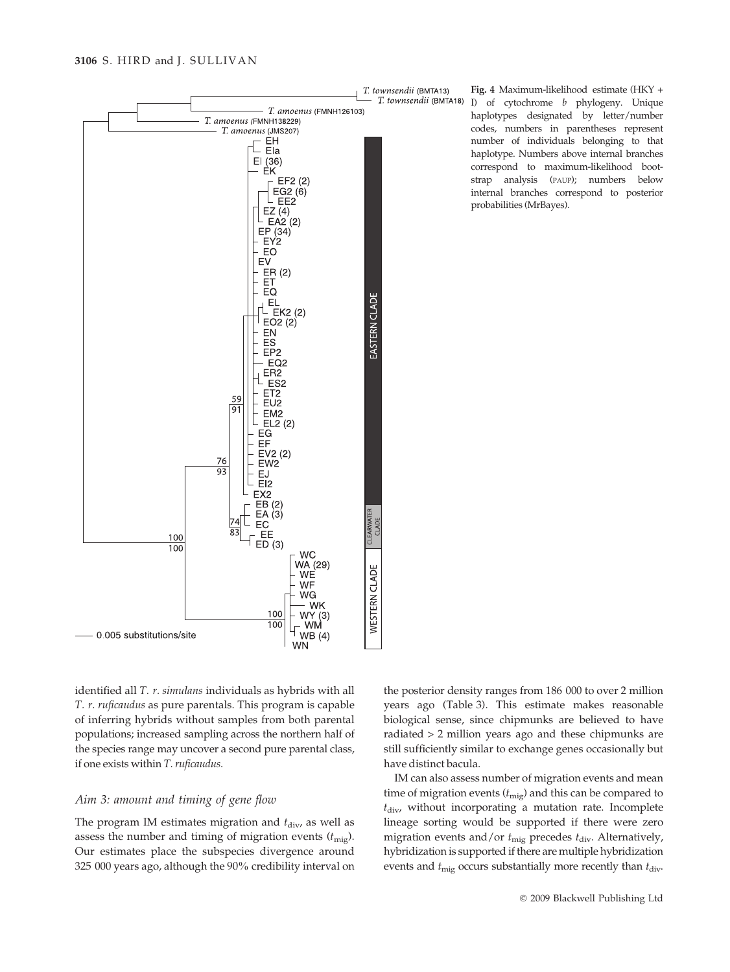



Fig. 4 Maximum-likelihood estimate (HKY + I) of cytochrome b phylogeny. Unique haplotypes designated by letter/number codes, numbers in parentheses represent number of individuals belonging to that haplotype. Numbers above internal branches correspond to maximum-likelihood bootstrap analysis (PAUP); numbers below internal branches correspond to posterior probabilities (MrBayes).

identified all T. r. simulans individuals as hybrids with all T. r. ruficaudus as pure parentals. This program is capable of inferring hybrids without samples from both parental populations; increased sampling across the northern half of the species range may uncover a second pure parental class, if one exists within T. ruficaudus.

#### Aim 3: amount and timing of gene flow

The program IM estimates migration and  $t_{div}$ , as well as assess the number and timing of migration events  $(t_{\text{mig}})$ . Our estimates place the subspecies divergence around 325 000 years ago, although the 90% credibility interval on

the posterior density ranges from 186 000 to over 2 million years ago (Table 3). This estimate makes reasonable biological sense, since chipmunks are believed to have radiated > 2 million years ago and these chipmunks are still sufficiently similar to exchange genes occasionally but have distinct bacula.

IM can also assess number of migration events and mean time of migration events  $(t_{\text{mig}})$  and this can be compared to  $t_{\rm div}$ , without incorporating a mutation rate. Incomplete lineage sorting would be supported if there were zero migration events and/or  $t_{\text{mig}}$  precedes  $t_{\text{div}}$ . Alternatively, hybridization is supported if there are multiple hybridization events and  $t_{\text{mig}}$  occurs substantially more recently than  $t_{\text{div}}$ .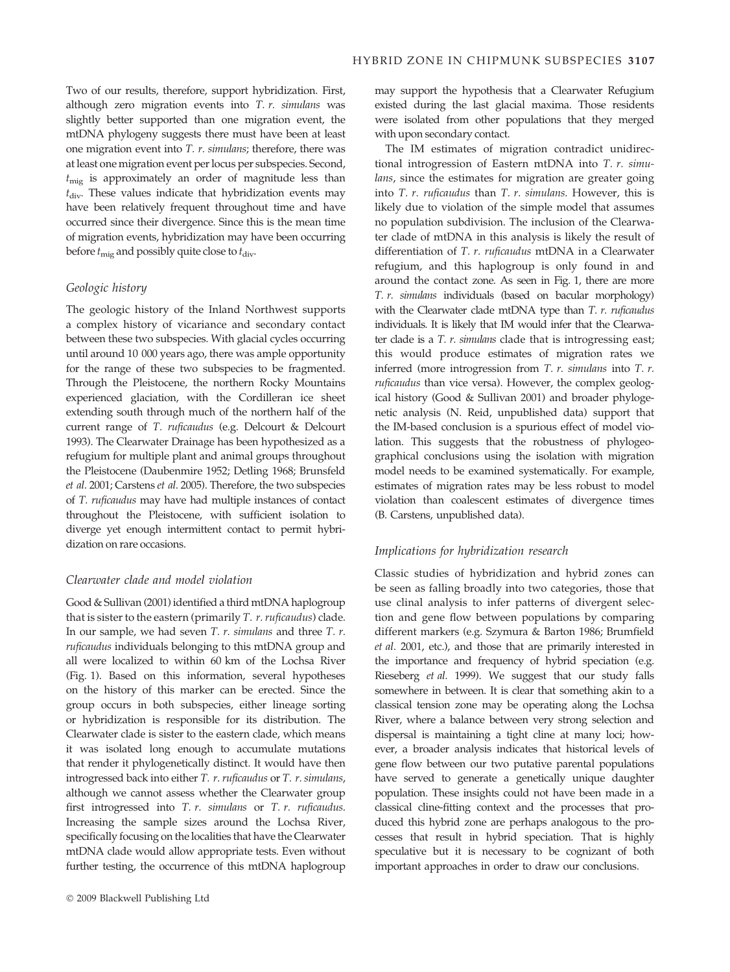Two of our results, therefore, support hybridization. First, although zero migration events into T. r. simulans was slightly better supported than one migration event, the mtDNA phylogeny suggests there must have been at least one migration event into T. r. simulans; therefore, there was at least one migration event per locus per subspecies. Second,  $t_{\text{mig}}$  is approximately an order of magnitude less than  $t<sub>div</sub>$ . These values indicate that hybridization events may have been relatively frequent throughout time and have occurred since their divergence. Since this is the mean time of migration events, hybridization may have been occurring before  $t_{\text{mig}}$  and possibly quite close to  $t_{\text{div}}$ .

# Geologic history

The geologic history of the Inland Northwest supports a complex history of vicariance and secondary contact between these two subspecies. With glacial cycles occurring until around 10 000 years ago, there was ample opportunity for the range of these two subspecies to be fragmented. Through the Pleistocene, the northern Rocky Mountains experienced glaciation, with the Cordilleran ice sheet extending south through much of the northern half of the current range of T. ruficaudus (e.g. Delcourt & Delcourt 1993). The Clearwater Drainage has been hypothesized as a refugium for multiple plant and animal groups throughout the Pleistocene (Daubenmire 1952; Detling 1968; Brunsfeld et al. 2001; Carstens et al. 2005). Therefore, the two subspecies of T. ruficaudus may have had multiple instances of contact throughout the Pleistocene, with sufficient isolation to diverge yet enough intermittent contact to permit hybridization on rare occasions.

# Clearwater clade and model violation

Good & Sullivan (2001) identified a third mtDNA haplogroup that is sister to the eastern (primarily T. r. ruficaudus) clade. In our sample, we had seven T. r. simulans and three T. r. ruficaudus individuals belonging to this mtDNA group and all were localized to within 60 km of the Lochsa River (Fig. 1). Based on this information, several hypotheses on the history of this marker can be erected. Since the group occurs in both subspecies, either lineage sorting or hybridization is responsible for its distribution. The Clearwater clade is sister to the eastern clade, which means it was isolated long enough to accumulate mutations that render it phylogenetically distinct. It would have then introgressed back into either T. r. ruficaudus or T. r. simulans, although we cannot assess whether the Clearwater group first introgressed into T. r. simulans or T. r. ruficaudus. Increasing the sample sizes around the Lochsa River, specifically focusing on the localities that have the Clearwater mtDNA clade would allow appropriate tests. Even without further testing, the occurrence of this mtDNA haplogroup

may support the hypothesis that a Clearwater Refugium existed during the last glacial maxima. Those residents were isolated from other populations that they merged with upon secondary contact.

The IM estimates of migration contradict unidirectional introgression of Eastern mtDNA into T. r. simulans, since the estimates for migration are greater going into T. r. ruficaudus than T. r. simulans. However, this is likely due to violation of the simple model that assumes no population subdivision. The inclusion of the Clearwater clade of mtDNA in this analysis is likely the result of differentiation of T. r. ruficaudus mtDNA in a Clearwater refugium, and this haplogroup is only found in and around the contact zone. As seen in Fig. 1, there are more T. r. simulans individuals (based on bacular morphology) with the Clearwater clade mtDNA type than T. r. ruficaudus individuals. It is likely that IM would infer that the Clearwater clade is a T. r. simulans clade that is introgressing east; this would produce estimates of migration rates we inferred (more introgression from T. r. simulans into T. r. ruficaudus than vice versa). However, the complex geological history (Good & Sullivan 2001) and broader phylogenetic analysis (N. Reid, unpublished data) support that the IM-based conclusion is a spurious effect of model violation. This suggests that the robustness of phylogeographical conclusions using the isolation with migration model needs to be examined systematically. For example, estimates of migration rates may be less robust to model violation than coalescent estimates of divergence times (B. Carstens, unpublished data).

## Implications for hybridization research

Classic studies of hybridization and hybrid zones can be seen as falling broadly into two categories, those that use clinal analysis to infer patterns of divergent selection and gene flow between populations by comparing different markers (e.g. Szymura & Barton 1986; Brumfield et al. 2001, etc.), and those that are primarily interested in the importance and frequency of hybrid speciation (e.g. Rieseberg et al. 1999). We suggest that our study falls somewhere in between. It is clear that something akin to a classical tension zone may be operating along the Lochsa River, where a balance between very strong selection and dispersal is maintaining a tight cline at many loci; however, a broader analysis indicates that historical levels of gene flow between our two putative parental populations have served to generate a genetically unique daughter population. These insights could not have been made in a classical cline-fitting context and the processes that produced this hybrid zone are perhaps analogous to the processes that result in hybrid speciation. That is highly speculative but it is necessary to be cognizant of both important approaches in order to draw our conclusions.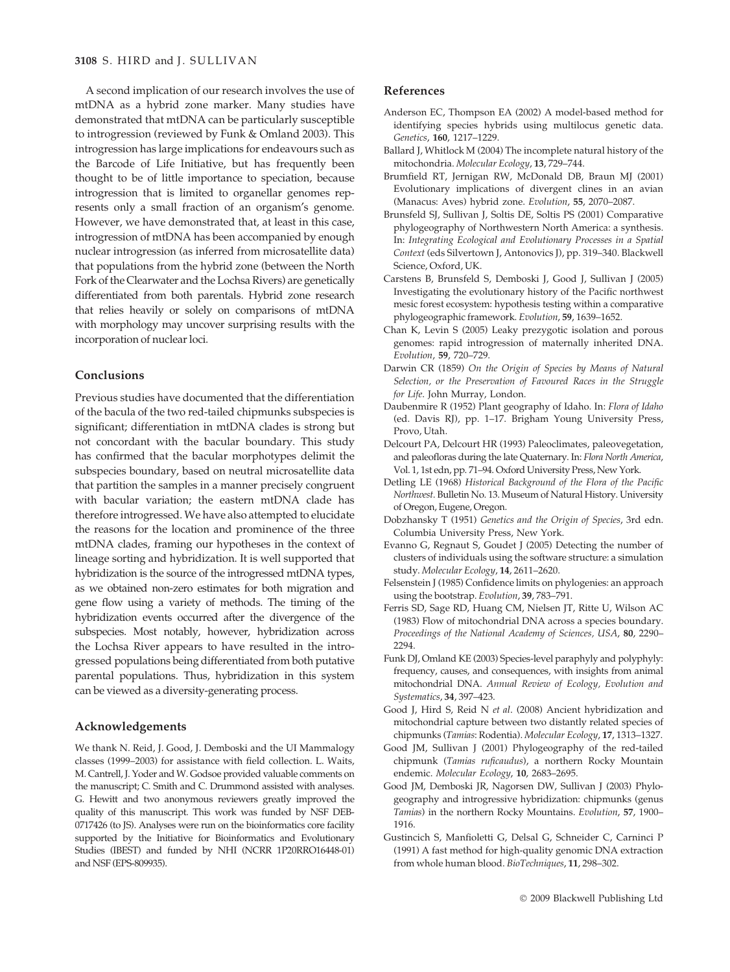## 3108 S. HIRD and J. SULLIVAN

A second implication of our research involves the use of mtDNA as a hybrid zone marker. Many studies have demonstrated that mtDNA can be particularly susceptible to introgression (reviewed by Funk & Omland 2003). This introgression has large implications for endeavours such as the Barcode of Life Initiative, but has frequently been thought to be of little importance to speciation, because introgression that is limited to organellar genomes represents only a small fraction of an organism's genome. However, we have demonstrated that, at least in this case, introgression of mtDNA has been accompanied by enough nuclear introgression (as inferred from microsatellite data) that populations from the hybrid zone (between the North Fork of the Clearwater and the Lochsa Rivers) are genetically differentiated from both parentals. Hybrid zone research that relies heavily or solely on comparisons of mtDNA with morphology may uncover surprising results with the incorporation of nuclear loci.

## Conclusions

Previous studies have documented that the differentiation of the bacula of the two red-tailed chipmunks subspecies is significant; differentiation in mtDNA clades is strong but not concordant with the bacular boundary. This study has confirmed that the bacular morphotypes delimit the subspecies boundary, based on neutral microsatellite data that partition the samples in a manner precisely congruent with bacular variation; the eastern mtDNA clade has therefore introgressed. We have also attempted to elucidate the reasons for the location and prominence of the three mtDNA clades, framing our hypotheses in the context of lineage sorting and hybridization. It is well supported that hybridization is the source of the introgressed mtDNA types, as we obtained non-zero estimates for both migration and gene flow using a variety of methods. The timing of the hybridization events occurred after the divergence of the subspecies. Most notably, however, hybridization across the Lochsa River appears to have resulted in the introgressed populations being differentiated from both putative parental populations. Thus, hybridization in this system can be viewed as a diversity-generating process.

## Acknowledgements

We thank N. Reid, J. Good, J. Demboski and the UI Mammalogy classes (1999–2003) for assistance with field collection. L. Waits, M. Cantrell, J. Yoder and W. Godsoe provided valuable comments on the manuscript; C. Smith and C. Drummond assisted with analyses. G. Hewitt and two anonymous reviewers greatly improved the quality of this manuscript. This work was funded by NSF DEB-0717426 (to JS). Analyses were run on the bioinformatics core facility supported by the Initiative for Bioinformatics and Evolutionary Studies (IBEST) and funded by NHI (NCRR 1P20RRO16448-01) and NSF (EPS-809935).

#### References

- Anderson EC, Thompson EA (2002) A model-based method for identifying species hybrids using multilocus genetic data. Genetics, 160, 1217–1229.
- Ballard J, Whitlock M (2004) The incomplete natural history of the mitochondria. Molecular Ecology, 13, 729–744.
- Brumfield RT, Jernigan RW, McDonald DB, Braun MJ (2001) Evolutionary implications of divergent clines in an avian (Manacus: Aves) hybrid zone. Evolution, 55, 2070–2087.
- Brunsfeld SJ, Sullivan J, Soltis DE, Soltis PS (2001) Comparative phylogeography of Northwestern North America: a synthesis. In: Integrating Ecological and Evolutionary Processes in a Spatial Context (eds Silvertown J, Antonovics J), pp. 319–340. Blackwell Science, Oxford, UK.
- Carstens B, Brunsfeld S, Demboski J, Good J, Sullivan J (2005) Investigating the evolutionary history of the Pacific northwest mesic forest ecosystem: hypothesis testing within a comparative phylogeographic framework. Evolution, 59, 1639–1652.
- Chan K, Levin S (2005) Leaky prezygotic isolation and porous genomes: rapid introgression of maternally inherited DNA. Evolution, 59, 720–729.
- Darwin CR (1859) On the Origin of Species by Means of Natural Selection, or the Preservation of Favoured Races in the Struggle for Life. John Murray, London.
- Daubenmire R (1952) Plant geography of Idaho. In: Flora of Idaho (ed. Davis RJ), pp. 1–17. Brigham Young University Press, Provo, Utah.
- Delcourt PA, Delcourt HR (1993) Paleoclimates, paleovegetation, and paleofloras during the late Quaternary. In: Flora North America, Vol. 1, 1st edn, pp. 71–94. Oxford University Press, New York.
- Detling LE (1968) Historical Background of the Flora of the Pacific Northwest. Bulletin No. 13. Museum of Natural History. University of Oregon, Eugene, Oregon.
- Dobzhansky T (1951) Genetics and the Origin of Species, 3rd edn. Columbia University Press, New York.
- Evanno G, Regnaut S, Goudet J (2005) Detecting the number of clusters of individuals using the software structure: a simulation study. Molecular Ecology, 14, 2611–2620.
- Felsenstein J (1985) Confidence limits on phylogenies: an approach using the bootstrap. Evolution, 39, 783–791.
- Ferris SD, Sage RD, Huang CM, Nielsen JT, Ritte U, Wilson AC (1983) Flow of mitochondrial DNA across a species boundary. Proceedings of the National Academy of Sciences, USA, 80, 2290– 2294.
- Funk DJ, Omland KE (2003) Species-level paraphyly and polyphyly: frequency, causes, and consequences, with insights from animal mitochondrial DNA. Annual Review of Ecology, Evolution and Systematics, 34, 397–423.
- Good J, Hird S, Reid N et al. (2008) Ancient hybridization and mitochondrial capture between two distantly related species of chipmunks (Tamias: Rodentia). Molecular Ecology, 17, 1313–1327.
- Good JM, Sullivan J (2001) Phylogeography of the red-tailed chipmunk (Tamias ruficaudus), a northern Rocky Mountain endemic. Molecular Ecology, 10, 2683–2695.
- Good JM, Demboski JR, Nagorsen DW, Sullivan J (2003) Phylogeography and introgressive hybridization: chipmunks (genus Tamias) in the northern Rocky Mountains. Evolution, 57, 1900– 1916.
- Gustincich S, Manfioletti G, Delsal G, Schneider C, Carninci P (1991) A fast method for high-quality genomic DNA extraction from whole human blood. BioTechniques, 11, 298–302.